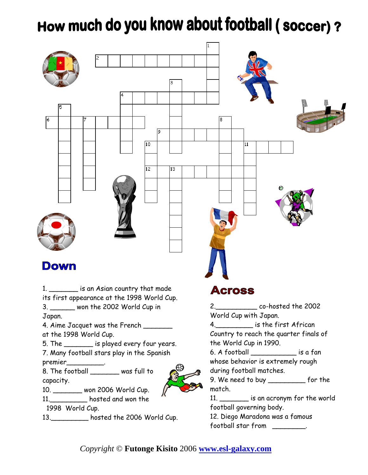## How much do you know about football (soccer)?